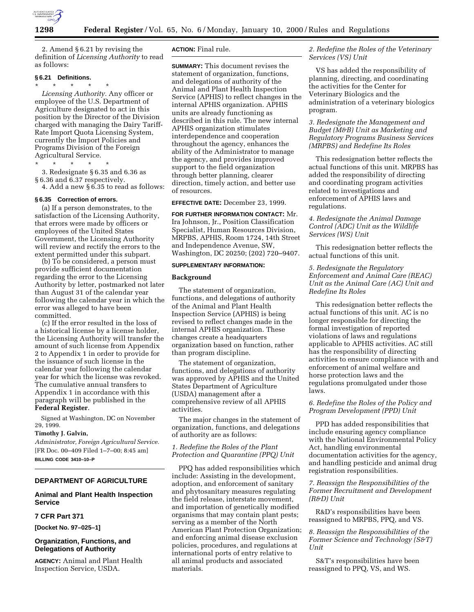

2. Amend § 6.21 by revising the definition of *Licensing Authority* to read as follows:

# **§ 6.21 Definitions.**

\* \* \* \* \* *Licensing Authority.* Any officer or employee of the U.S. Department of Agriculture designated to act in this position by the Director of the Division charged with managing the Dairy Tariff-Rate Import Quota Licensing System, currently the Import Policies and Programs Division of the Foreign Agricultural Service.

\* \* \* \* \*

3. Redesignate § 6.35 and 6.36 as § 6.36 and 6.37 respectively.

4. Add a new § 6.35 to read as follows:

# **§ 6.35 Correction of errors.**

(a) If a person demonstrates, to the satisfaction of the Licensing Authority, that errors were made by officers or employees of the United States Government, the Licensing Authority will review and rectify the errors to the extent permitted under this subpart.

(b) To be considered, a person must provide sufficient documentation regarding the error to the Licensing Authority by letter, postmarked not later than August 31 of the calendar year following the calendar year in which the error was alleged to have been committed.

(c) If the error resulted in the loss of a historical license by a license holder, the Licensing Authority will transfer the amount of such license from Appendix 2 to Appendix 1 in order to provide for the issuance of such license in the calendar year following the calendar year for which the license was revoked. The cumulative annual transfers to Appendix 1 in accordance with this paragraph will be published in the **Federal Register**.

Signed at Washington, DC on November 29, 1999.

#### **Timothy J. Galvin,**

*Administrator, Foreign Agricultural Service.* [FR Doc. 00–409 Filed 1–7–00; 8:45 am] **BILLING CODE 3410–10–P**

# **DEPARTMENT OF AGRICULTURE**

## **Animal and Plant Health Inspection Service**

### **7 CFR Part 371**

**[Docket No. 97–025–1]**

# **Organization, Functions, and Delegations of Authority**

**AGENCY:** Animal and Plant Health Inspection Service, USDA.

# **ACTION:** Final rule.

**SUMMARY:** This document revises the statement of organization, functions, and delegations of authority of the Animal and Plant Health Inspection Service (APHIS) to reflect changes in the internal APHIS organization. APHIS units are already functioning as described in this rule. The new internal APHIS organization stimulates interdependence and cooperation throughout the agency, enhances the ability of the Administrator to manage the agency, and provides improved support to the field organization through better planning, clearer direction, timely action, and better use of resources.

#### **EFFECTIVE DATE:** December 23, 1999.

**FOR FURTHER INFORMATION CONTACT:** Mr. Ira Johnson, Jr., Position Classification Specialist, Human Resources Division, MRPBS, APHIS, Room 1724, 14th Street and Independence Avenue, SW, Washington, DC 20250; (202) 720–9407.

#### **SUPPLEMENTARY INFORMATION:**

### **Background**

The statement of organization, functions, and delegations of authority of the Animal and Plant Health Inspection Service (APHIS) is being revised to reflect changes made in the internal APHIS organization. These changes create a headquarters organization based on function, rather than program discipline.

The statement of organization, functions, and delegations of authority was approved by APHIS and the United States Department of Agriculture (USDA) management after a comprehensive review of all APHIS activities.

The major changes in the statement of organization, functions, and delegations of authority are as follows:

## *1. Redefine the Roles of the Plant Protection and Quarantine (PPQ) Unit*

PPQ has added responsibilities which include: Assisting in the development, adoption, and enforcement of sanitary and phytosanitary measures regulating the field release, interstate movement, and importation of genetically modified organisms that may contain plant pests; serving as a member of the North American Plant Protection Organization; and enforcing animal disease exclusion policies, procedures, and regulations at international ports of entry relative to all animal products and associated materials.

# *2. Redefine the Roles of the Veterinary Services (VS) Unit*

VS has added the responsibility of planning, directing, and coordinating the activities for the Center for Veterinary Biologics and the administration of a veterinary biologics program.

# *3. Redesignate the Management and Budget (M&B) Unit as Marketing and Regulatory Programs Business Services (MRPBS) and Redefine Its Roles*

This redesignation better reflects the actual functions of this unit. MRPBS has added the responsibility of directing and coordinating program activities related to investigations and enforcement of APHIS laws and regulations.

*4. Redesignate the Animal Damage Control (ADC) Unit as the Wildlife Services (WS) Unit*

This redesignation better reflects the actual functions of this unit.

# *5. Redesignate the Regulatory Enforcement and Animal Care (REAC) Unit as the Animal Care (AC) Unit and Redefine Its Roles*

This redesignation better reflects the actual functions of this unit. AC is no longer responsible for directing the formal investigation of reported violations of laws and regulations applicable to APHIS activities. AC still has the responsibility of directing activities to ensure compliance with and enforcement of animal welfare and horse protection laws and the regulations promulgated under those laws.

# *6. Redefine the Roles of the Policy and Program Development (PPD) Unit*

PPD has added responsibilities that include ensuring agency compliance with the National Environmental Policy Act, handling environmental documentation activities for the agency, and handling pesticide and animal drug registration responsibilities.

## *7. Reassign the Responsibilities of the Former Recruitment and Development (R&D) Unit*

R&D's responsibilities have been reassigned to MRPBS, PPQ, and VS.

*8. Reassign the Responsibilities of the Former Science and Technology (S&T) Unit*

S&T's responsibilities have been reassigned to PPQ, VS, and WS.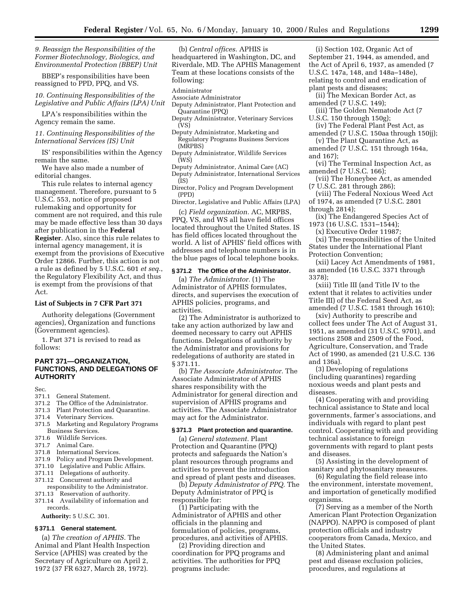*9. Reassign the Responsibilities of the Former Biotechnology, Biologics, and Environmental Protection (BBEP) Unit*

BBEP's responsibilities have been reassigned to PPD, PPQ, and VS.

# *10. Continuing Responsibilities of the Legislative and Public Affairs (LPA) Unit*

LPA's responsibilities within the Agency remain the same.

## *11. Continuing Responsibilities of the International Services (IS) Unit*

IS' responsibilities within the Agency remain the same.

We have also made a number of editorial changes.

This rule relates to internal agency management. Therefore, pursuant to 5 U.S.C. 553, notice of proposed rulemaking and opportunity for comment are not required, and this rule may be made effective less than 30 days after publication in the **Federal Register**. Also, since this rule relates to internal agency management, it is exempt from the provisions of Executive Order 12866. Further, this action is not a rule as defined by 5 U.S.C. 601 *et seq.*, the Regulatory Flexibility Act, and thus is exempt from the provisions of that Act.

## **List of Subjects in 7 CFR Part 371**

Authority delegations (Government agencies), Organization and functions (Government agencies).

1. Part 371 is revised to read as follows:

# **PART 371—ORGANIZATION, FUNCTIONS, AND DELEGATIONS OF AUTHORITY**

Sec.

- 371.1 General Statement.
- 371.2 The Office of the Administrator.
- 371.3 Plant Protection and Quarantine.
- 371.4 Veterinary Services.
- 371.5 Marketing and Regulatory Programs Business Services.
- 371.6 Wildlife Services.
- 371.7 Animal Care.
- 371.8 International Services.
- 371.9 Policy and Program Development.
- 371.10 Legislative and Public Affairs.
- 371.11 Delegations of authority.
- 371.12 Concurrent authority and
- responsibility to the Administrator. 371.13 Reservation of authority.
- 371.14 Availability of information and records.

**Authority:** 5 U.S.C. 301.

#### **§ 371.1 General statement.**

(a) *The creation of APHIS.* The Animal and Plant Health Inspection Service (APHIS) was created by the Secretary of Agriculture on April 2, 1972 (37 FR 6327, March 28, 1972).

(b) *Central offices.* APHIS is headquartered in Washington, DC, and Riverdale, MD. The APHIS Management Team at these locations consists of the following:

Administrator

- Associate Administrator
- Deputy Administrator, Plant Protection and Quarantine (PPQ)
- Deputy Administrator, Veterinary Services (VS)
- Deputy Administrator, Marketing and Regulatory Programs Business Services (MRPBS)
- Deputy Administrator, Wildlife Services (WS)
- Deputy Administrator, Animal Care (AC) Deputy Administrator, International Services (IS)
- Director, Policy and Program Development (PPD)
- Director, Legislative and Public Affairs (LPA)

(c) *Field organization.* AC, MRPBS, PPQ, VS, and WS all have field offices located throughout the United States. IS has field offices located throughout the world. A list of APHIS' field offices with addresses and telephone numbers is in the blue pages of local telephone books.

#### **§ 371.2 The Office of the Administrator.**

(a) *The Administrator.* (1) The Administrator of APHIS formulates, directs, and supervises the execution of APHIS policies, programs, and activities.

(2) The Administrator is authorized to take any action authorized by law and deemed necessary to carry out APHIS functions. Delegations of authority by the Administrator and provisions for redelegations of authority are stated in § 371.11.

(b) *The Associate Administrator.* The Associate Administrator of APHIS shares responsibility with the Administrator for general direction and supervision of APHIS programs and activities. The Associate Administrator may act for the Administrator.

# **§ 371.3 Plant protection and quarantine.**

(a) *General statement.* Plant Protection and Quarantine (PPQ) protects and safeguards the Nation's plant resources through programs and activities to prevent the introduction and spread of plant pests and diseases.

(b) *Deputy Administrator of PPQ.* The Deputy Administrator of PPQ is responsible for:

(1) Participating with the Administrator of APHIS and other officials in the planning and formulation of policies, programs, procedures, and activities of APHIS.

(2) Providing direction and coordination for PPQ programs and activities. The authorities for PPQ programs include:

(i) Section 102, Organic Act of September 21, 1944, as amended, and the Act of April 6, 1937, as amended (7 U.S.C. 147a, 148, and 148a–148e), relating to control and eradication of plant pests and diseases;

(ii) The Mexican Border Act, as amended (7 U.S.C. 149);

- (iii) The Golden Nematode Act (7 U.S.C. 150 through 150g);
- (iv) The Federal Plant Pest Act, as amended (7 U.S.C. 150aa through 150jj);
- (v) The Plant Quarantine Act, as
- amended (7 U.S.C. 151 through 164a, and 167);
- (vi) The Terminal Inspection Act, as amended (7 U.S.C. 166);
- (vii) The Honeybee Act, as amended (7 U.S.C. 281 through 286);
- (viii) The Federal Noxious Weed Act of 1974, as amended (7 U.S.C. 2801 through 2814);

(ix) The Endangered Species Act of 1973 (16 U.S.C. 1531–1544);

(x) Executive Order 11987;

(xi) The responsibilities of the United States under the International Plant Protection Convention;

(xii) Lacey Act Amendments of 1981, as amended (16 U.S.C. 3371 through 3378);

(xiii) Title III (and Title IV to the extent that it relates to activities under Title III) of the Federal Seed Act, as amended (7 U.S.C. 1581 through 1610);

(xiv) Authority to prescribe and collect fees under The Act of August 31, 1951, as amended (31 U.S.C. 9701), and sections 2508 and 2509 of the Food, Agriculture, Conservation, and Trade Act of 1990, as amended (21 U.S.C. 136 and 136a).

(3) Developing of regulations (including quarantines) regarding noxious weeds and plant pests and diseases.

(4) Cooperating with and providing technical assistance to State and local governments, farmer's associations, and individuals with regard to plant pest control. Cooperating with and providing technical assistance to foreign governments with regard to plant pests and diseases.

(5) Assisting in the development of sanitary and phytosanitary measures.

(6) Regulating the field release into the environment, interstate movement, and importation of genetically modified organisms.

(7) Serving as a member of the North American Plant Protection Organization (NAPPO). NAPPO is composed of plant protection officials and industry cooperators from Canada, Mexico, and the United States.

(8) Administering plant and animal pest and disease exclusion policies, procedures, and regulations at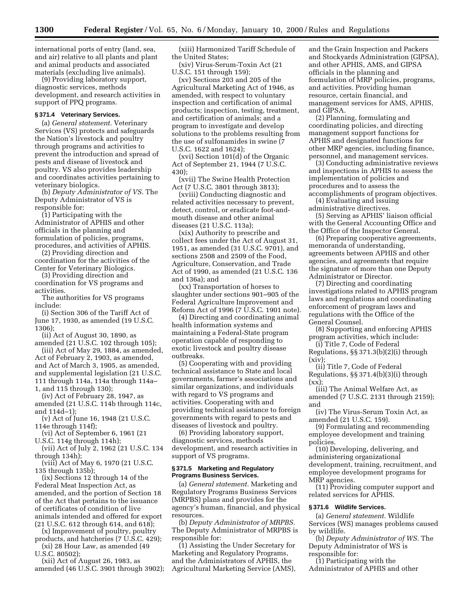international ports of entry (land, sea, and air) relative to all plants and plant and animal products and associated materials (excluding live animals).

(9) Providing laboratory support, diagnostic services, methods development, and research activities in support of PPQ programs.

### **§ 371.4 Veterinary Services.**

(a) *General statement.* Veterinary Services (VS) protects and safeguards the Nation's livestock and poultry through programs and activities to prevent the introduction and spread of pests and disease of livestock and poultry. VS also provides leadership and coordinates activities pertaining to veterinary biologics.

(b) *Deputy Administrator of VS.* The Deputy Administrator of VS is responsible for:

(1) Participating with the Administrator of APHIS and other officials in the planning and formulation of policies, programs, procedures, and activities of APHIS.

(2) Providing direction and coordination for the activities of the Center for Veterinary Biologics.

(3) Providing direction and coordination for VS programs and activities.

The authorities for VS programs include:

(i) Section 306 of the Tariff Act of June 17, 1930, as amended (19 U.S.C. 1306);

(ii) Act of August 30, 1890, as amended (21 U.S.C. 102 through 105);

(iii) Act of May 29, 1884, as amended, Act of February 2, 1903, as amended, and Act of March 3, 1905, as amended, and supplemental legislation (21 U.S.C. 111 through 114a, 114a through 114a–

1, and 115 through 130);

(iv) Act of February 28, 1947, as amended (21 U.S.C. 114b through 114c, and 114d–1);

(v) Act of June 16, 1948 (21 U.S.C. 114e through 114f);

(vi) Act of September 6, 1961 (21 U.S.C. 114g through 114h);

(vii) Act of July 2, 1962 (21 U.S.C. 134 through 134h);

(viii) Act of May 6, 1970 (21 U.S.C. 135 through 135b);

(ix) Sections 12 through 14 of the Federal Meat Inspection Act, as amended, and the portion of Section 18 of the Act that pertains to the issuance of certificates of condition of live animals intended and offered for export (21 U.S.C. 612 through 614, and 618);

(x) Improvement of poultry, poultry products, and hatcheries (7 U.S.C. 429);

(xi) 28 Hour Law, as amended (49 U.S.C. 80502);

(xii) Act of August 26, 1983, as amended (46 U.S.C. 3901 through 3902);

(xiii) Harmonized Tariff Schedule of the United States;

(xiv) Virus-Serum-Toxin Act (21 U.S.C. 151 through 159);

(xv) Sections 203 and 205 of the Agricultural Marketing Act of 1946, as amended, with respect to voluntary inspection and certification of animal products; inspection, testing, treatment, and certification of animals; and a program to investigate and develop solutions to the problems resulting from the use of sulfonamides in swine (7 U.S.C. 1622 and 1624);

(xvi) Section 101(d) of the Organic Act of September 21, 1944 (7 U.S.C. 430);

(xvii) The Swine Health Protection Act (7 U.S.C. 3801 through 3813);

(xviii) Conducting diagnostic and related activities necessary to prevent, detect, control, or eradicate foot-andmouth disease and other animal diseases (21 U.S.C. 113a);

(xix) Authority to prescribe and collect fees under the Act of August 31, 1951, as amended (31 U.S.C. 9701), and sections 2508 and 2509 of the Food, Agriculture, Conservation, and Trade Act of 1990, as amended (21 U.S.C. 136 and 136a); and

(xx) Transportation of horses to slaughter under sections 901–905 of the Federal Agriculture Improvement and Reform Act of 1996 (7 U.S.C. 1901 note).

(4) Directing and coordinating animal health information systems and maintaining a Federal-State program operation capable of responding to exotic livestock and poultry disease outbreaks.

(5) Cooperating with and providing technical assistance to State and local governments, farmer's associations and similar organizations, and individuals with regard to VS programs and activities. Cooperating with and providing technical assistance to foreign governments with regard to pests and diseases of livestock and poultry.

(6) Providing laboratory support, diagnostic services, methods development, and research activities in support of VS programs.

#### **§ 371.5 Marketing and Regulatory Programs Business Services.**

(a) *General statement.* Marketing and Regulatory Programs Business Services (MRPBS) plans and provides for the agency's human, financial, and physical resources.

(b) *Deputy Administrator of MRPBS.* The Deputy Administrator of MRPBS is responsible for:

(1) Assisting the Under Secretary for Marketing and Regulatory Programs, and the Administrators of APHIS, the Agricultural Marketing Service (AMS), and the Grain Inspection and Packers and Stockyards Administration (GIPSA), and other APHIS, AMS, and GIPSA officials in the planning and formulation of MRP policies, programs, and activities. Providing human resource, certain financial, and management services for AMS, APHIS, and GIPSA.

(2) Planning, formulating and coordinating policies, and directing management support functions for APHIS and designated functions for other MRP agencies, including finance, personnel, and management services.

(3) Conducting administrative reviews and inspections in APHIS to assess the implementation of policies and procedures and to assess the accomplishments of program objectives.

(4) Evaluating and issuing administrative directives.

(5) Serving as APHIS' liaison official with the General Accounting Office and the Office of the Inspector General.

(6) Preparing cooperative agreements, memoranda of understanding, agreements between APHIS and other agencies, and agreements that require the signature of more than one Deputy Administrator or Director.

(7) Directing and coordinating investigations related to APHIS program laws and regulations and coordinating enforcement of program laws and regulations with the Office of the General Counsel.

(8) Supporting and enforcing APHIS program activities, which include:

(i) Title 7, Code of Federal Regulations, §§ 371.3(b)(2)(i) through (xiv);

(ii) Title 7, Code of Federal Regulations, §§ 371.4(b)(3)(i) through  $(xx);$ 

(iii) The Animal Welfare Act, as amended (7 U.S.C. 2131 through 2159); and

(iv) The Virus-Serum Toxin Act, as amended (21 U.S.C. 159).

(9) Formulating and recommending employee development and training policies.

(10) Developing, delivering, and administering organizational development, training, recruitment, and employee development programs for MRP agencies.

(11) Providing computer support and related services for APHIS.

#### **§ 371.6 Wildlife Services.**

(a) *General statement.* Wildlife Services (WS) manages problems caused by wildlife.

(b) *Deputy Administrator of WS.* The Deputy Administrator of WS is responsible for:

(1) Participating with the Administrator of APHIS and other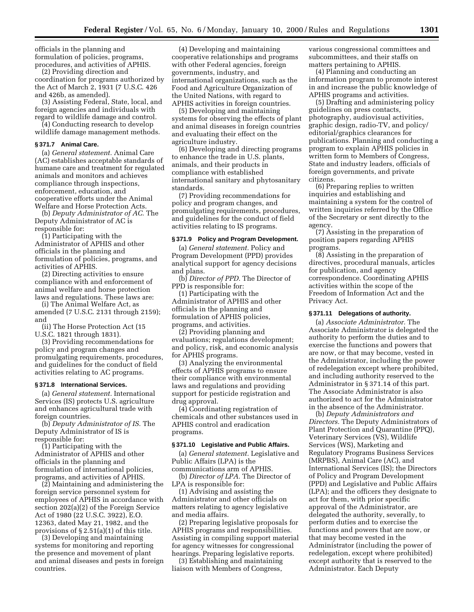officials in the planning and formulation of policies, programs, procedures, and activities of APHIS.

(2) Providing direction and coordination for programs authorized by the Act of March 2, 1931 (7 U.S.C. 426 and 426b, as amended).

(3) Assisting Federal, State, local, and foreign agencies and individuals with regard to wildlife damage and control.

(4) Conducting research to develop wildlife damage management methods.

#### **§ 371.7 Animal Care.**

(a) *General statement.* Animal Care (AC) establishes acceptable standards of humane care and treatment for regulated animals and monitors and achieves compliance through inspections, enforcement, education, and cooperative efforts under the Animal Welfare and Horse Protection Acts.

(b) *Deputy Administrator of AC.* The Deputy Administrator of AC is responsible for:

(1) Participating with the Administrator of APHIS and other officials in the planning and formulation of policies, programs, and activities of APHIS.

(2) Directing activities to ensure compliance with and enforcement of animal welfare and horse protection laws and regulations. These laws are:

(i) The Animal Welfare Act, as amended (7 U.S.C. 2131 through 2159); and

(ii) The Horse Protection Act (15 U.S.C. 1821 through 1831).

(3) Providing recommendations for policy and program changes and promulgating requirements, procedures, and guidelines for the conduct of field activities relating to AC programs.

#### **§ 371.8 International Services.**

(a) *General statement.* International Services (IS) protects U.S. agriculture and enhances agricultural trade with foreign countries.

(b) *Deputy Administrator of IS.* The Deputy Administrator of IS is responsible for:

(1) Participating with the Administrator of APHIS and other officials in the planning and formulation of international policies, programs, and activities of APHIS.

(2) Maintaining and administering the foreign service personnel system for employees of APHIS in accordance with section 202(a)(2) of the Foreign Service Act of 1980 (22 U.S.C. 3922), E.O. 12363, dated May 21, 1982, and the provisions of § 2.51(a)(1) of this title.

(3) Developing and maintaining systems for monitoring and reporting the presence and movement of plant and animal diseases and pests in foreign countries.

(4) Developing and maintaining cooperative relationships and programs with other Federal agencies, foreign governments, industry, and international organizations, such as the Food and Agriculture Organization of the United Nations, with regard to APHIS activities in foreign countries.

(5) Developing and maintaining systems for observing the effects of plant and animal diseases in foreign countries and evaluating their effect on the agriculture industry.

(6) Developing and directing programs to enhance the trade in U.S. plants, animals, and their products in compliance with established international sanitary and phytosanitary standards.

(7) Providing recommendations for policy and program changes, and promulgating requirements, procedures, and guidelines for the conduct of field activities relating to IS programs.

#### **§ 371.9 Policy and Program Development.**

(a) *General statement.* Policy and Program Development (PPD) provides analytical support for agency decisions and plans.

(b) *Director of PPD.* The Director of PPD is responsible for:

(1) Participating with the Administrator of APHIS and other officials in the planning and formulation of APHIS policies, programs, and activities.

(2) Providing planning and evaluations; regulations development; and policy, risk, and economic analysis for APHIS programs.

(3) Analyzing the environmental effects of APHIS programs to ensure their compliance with environmental laws and regulations and providing support for pesticide registration and drug approval.

(4) Coordinating registration of chemicals and other substances used in APHIS control and eradication programs.

### **§ 371.10 Legislative and Public Affairs.**

(a) *General statement.* Legislative and Public Affairs (LPA) is the communications arm of APHIS.

(b) *Director of LPA.* The Director of LPA is responsible for:

(1) Advising and assisting the Administrator and other officials on matters relating to agency legislative and media affairs.

(2) Preparing legislative proposals for APHIS programs and responsibilities. Assisting in compiling support material for agency witnesses for congressional hearings. Preparing legislative reports.

(3) Establishing and maintaining liaison with Members of Congress,

various congressional committees and subcommittees, and their staffs on matters pertaining to APHIS.

(4) Planning and conducting an information program to promote interest in and increase the public knowledge of APHIS programs and activities.

(5) Drafting and administering policy guidelines on press contacts, photography, audiovisual activities, graphic design, radio-TV, and policy/ editorial/graphics clearances for publications. Planning and conducting a program to explain APHIS policies in written form to Members of Congress, State and industry leaders, officials of foreign governments, and private citizens.

(6) Preparing replies to written inquiries and establishing and maintaining a system for the control of written inquiries referred by the Office of the Secretary or sent directly to the agency.

(7) Assisting in the preparation of position papers regarding APHIS programs.

(8) Assisting in the preparation of directives, procedural manuals, articles for publication, and agency correspondence. Coordinating APHIS activities within the scope of the Freedom of Information Act and the Privacy Act.

### **§ 371.11 Delegations of authority.**

(a) *Associate Administrator.* The Associate Administrator is delegated the authority to perform the duties and to exercise the functions and powers that are now, or that may become, vested in the Administrator, including the power of redelegation except where prohibited, and including authority reserved to the Administrator in § 371.14 of this part. The Associate Administrator is also authorized to act for the Administrator in the absence of the Administrator.

(b) *Deputy Administrators and Directors.* The Deputy Administrators of Plant Protection and Quarantine (PPQ), Veterinary Services (VS), Wildlife Services (WS), Marketing and Regulatory Programs Business Services (MRPBS), Animal Care (AC), and International Services (IS); the Directors of Policy and Program Development (PPD) and Legislative and Public Affairs (LPA); and the officers they designate to act for them, with prior specific approval of the Administrator, are delegated the authority, severally, to perform duties and to exercise the functions and powers that are now, or that may become vested in the Administrator (including the power of redelegation, except where prohibited) except authority that is reserved to the Administrator. Each Deputy